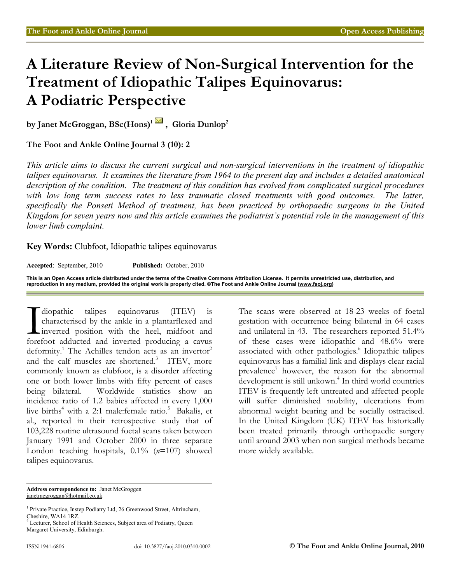# **A Literature Review of Non-Surgical Intervention for the Treatment of Idiopathic Talipes Equinovarus: A Podiatric Perspective**

**by Janet McGroggan, BSc(Hons)<sup>1</sup>, Gloria Dunlop<sup>2</sup>**

**The Foot and Ankle Online Journal 3 (10): 2** 

*This article aims to discuss the current surgical and non-surgical interventions in the treatment of idiopathic talipes equinovarus. It examines the literature from 1964 to the present day and includes a detailed anatomical description of the condition. The treatment of this condition has evolved from complicated surgical procedures*  with low long term success rates to less traumatic closed treatments with good outcomes. The latter, *specifically the Ponseti Method of treatment, has been practiced by orthopaedic surgeons in the United Kingdom for seven years now and this article examines the podiatrist's potential role in the management of this lower limb complaint.* 

**Key Words:** Clubfoot, Idiopathic talipes equinovarus

**Accepted**: September, 2010 **Published:** October, 2010

**This is an Open Access article distributed under the terms of the Creative Commons Attribution License. It permits unrestricted use, distribution, and reproduction in any medium, provided the original work is properly cited. ©The Foot and Ankle Online Journal (www.faoj.org)**

diopathic talipes equinovarus (ITEV) is characterised by the ankle in a plantarflexed and Linverted position with the heel, midfoot and diopathic talipes equinovarus (ITEV) is characterised by the ankle in a plantarflexed and inverted position with the heel, midfoot and forefoot adducted and inverted producing a cavus deformity.<sup>1</sup> The Achilles tendon acts as an invertor<sup>2</sup> and the calf muscles are shortened.<sup>3</sup> ITEV, more commonly known as clubfoot, is a disorder affecting one or both lower limbs with fifty percent of cases being bilateral. Worldwide statistics show an incidence ratio of 1.2 babies affected in every 1,000 live births<sup>4</sup> with a 2:1 male:female ratio.<sup>5</sup> Bakalis, et al., reported in their retrospective study that of 103,228 routine ultrasound foetal scans taken between January 1991 and October 2000 in three separate London teaching hospitals, 0.1% (*n*=107) showed talipes equinovarus.

The scans were observed at 18-23 weeks of foetal gestation with occurrence being bilateral in 64 cases and unilateral in 43. The researchers reported 51.4% of these cases were idiopathic and 48.6% were associated with other pathologies.<sup>6</sup> Idiopathic talipes equinovarus has a familial link and displays clear racial prevalence<sup>7</sup> however, the reason for the abnormal development is still unkown.<sup>4</sup> In third world countries ITEV is frequently left untreated and affected people will suffer diminished mobility, ulcerations from abnormal weight bearing and be socially ostracised. In the United Kingdom (UK) ITEV has historically been treated primarily through orthopaedic surgery until around 2003 when non surgical methods became more widely available.

**Address correspondence to:** Janet McGroggen janetmcgroggan@hotmail.co.uk

<sup>&</sup>lt;sup>1</sup> Private Practice, Instep Podiatry Ltd, 26 Greenwood Street, Altrincham, Cheshire, WA14 1RZ.

<sup>&</sup>lt;sup>2</sup> Lecturer, School of Health Sciences, Subject area of Podiatry, Queen Margaret University, Edinburgh.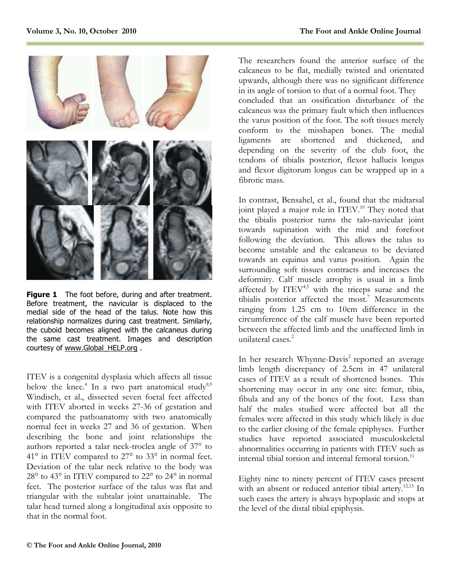

**Figure 1** The foot before, during and after treatment. Before treatment, the navicular is displaced to the medial side of the head of the talus. Note how this relationship normalizes during cast treatment. Similarly, the cuboid becomes aligned with the calcaneus during the same cast treatment. Images and description courtesy of www.Global\_HELP.org .

ITEV is a congenital dysplasia which affects all tissue below the knee.<sup>4</sup> In a two part anatomical study<sup>8,9</sup> Windisch, et al., dissected seven foetal feet affected with ITEV aborted in weeks 27-36 of gestation and compared the pathoanatomy with two anatomically normal feet in weeks 27 and 36 of gestation. When describing the bone and joint relationships the authors reported a talar neck-troclea angle of 37° to 41° in ITEV compared to 27° to 33° in normal feet. Deviation of the talar neck relative to the body was 28° to 43° in ITEV compared to 22° to 24° in normal feet. The posterior surface of the talus was flat and triangular with the subtalar joint unattainable. The talar head turned along a longitudinal axis opposite to that in the normal foot.

The researchers found the anterior surface of the calcaneus to be flat, medially twisted and orientated upwards, although there was no significant difference in its angle of torsion to that of a normal foot. They concluded that an ossification disturbance of the calcaneus was the primary fault which then influences the varus position of the foot. The soft tissues merely conform to the misshapen bones. The medial ligaments are shortened and thickened, and depending on the severity of the club foot, the tendons of tibialis posterior, flexor hallucis longus and flexor digitorum longus can be wrapped up in a fibrotic mass.

In contrast, Bensahel, et al., found that the midtarsal joint played a major role in ITEV.<sup>10</sup> They noted that the tibialis posterior turns the talo-navicular joint towards supination with the mid and forefoot following the deviation. This allows the talus to become unstable and the calcaneus to be deviated towards an equinus and varus position. Again the surrounding soft tissues contracts and increases the deformity. Calf muscle atrophy is usual in a limb affected by  $ITEV<sup>4,5</sup>$  with the triceps surae and the tibialis posterior affected the most.<sup>7</sup> Measurements ranging from 1.25 cm to 10cm difference in the circumference of the calf muscle have been reported between the affected limb and the unaffected limb in unilateral cases.<sup>2</sup>

In her research Whynne-Davis<sup>2</sup> reported an average limb length discrepancy of 2.5cm in 47 unilateral cases of ITEV as a result of shortened bones. This shortening may occur in any one site: femur, tibia, fibula and any of the bones of the foot. Less than half the males studied were affected but all the females were affected in this study which likely is due to the earlier closing of the female epiphyses. Further studies have reported associated musculoskeletal abnormalities occurring in patients with ITEV such as internal tibial torsion and internal femoral torsion.<sup>11</sup>

Eighty nine to ninety percent of ITEV cases present with an absent or reduced anterior tibial artery.<sup>12,13</sup> In such cases the artery is always hypoplasic and stops at the level of the distal tibial epiphysis.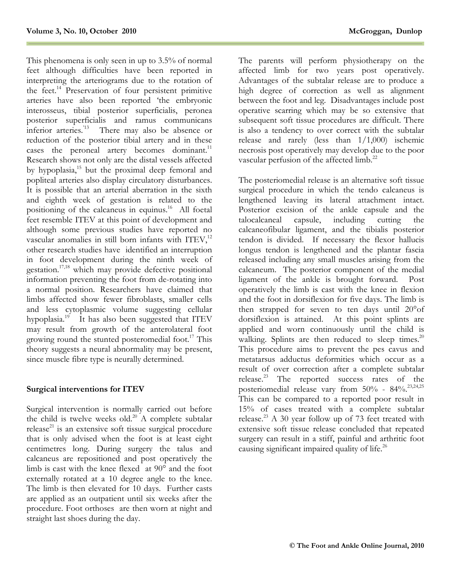This phenomena is only seen in up to 3.5% of normal feet although difficulties have been reported in interpreting the arteriograms due to the rotation of the feet.<sup>14</sup> Preservation of four persistent primitive arteries have also been reported 'the embryonic interosseus, tibial posterior superficialis, peronea posterior superficialis and ramus communicans inferior arteries.<sup>'13</sup> There may also be absence or reduction of the posterior tibial artery and in these cases the peroneal artery becomes dominant.<sup>11</sup> Research shows not only are the distal vessels affected by hypoplasia,<sup>15</sup> but the proximal deep femoral and popliteal arteries also display circulatory disturbances. It is possible that an arterial aberration in the sixth and eighth week of gestation is related to the positioning of the calcaneus in equinus.<sup>16</sup> All foetal feet resemble ITEV at this point of development and although some previous studies have reported no vascular anomalies in still born infants with ITEV,<sup>12</sup> other research studies have identified an interruption in foot development during the ninth week of gestation.17,18 which may provide defective positional information preventing the foot from de-rotating into a normal position. Researchers have claimed that limbs affected show fewer fibroblasts, smaller cells and less cytoplasmic volume suggesting cellular hypoplasia.<sup>19</sup> It has also been suggested that ITEV may result from growth of the anterolateral foot growing round the stunted posteromedial foot.<sup>17</sup> This theory suggests a neural abnormality may be present, since muscle fibre type is neurally determined.

### **Surgical interventions for ITEV**

Surgical intervention is normally carried out before the child is twelve weeks old.<sup>20</sup> A complete subtalar release<sup>21</sup> is an extensive soft tissue surgical procedure that is only advised when the foot is at least eight centimetres long. During surgery the talus and calcaneus are repositioned and post operatively the limb is cast with the knee flexed at 90° and the foot externally rotated at a 10 degree angle to the knee. The limb is then elevated for 10 days. Further casts are applied as an outpatient until six weeks after the procedure. Foot orthoses are then worn at night and straight last shoes during the day.

The parents will perform physiotherapy on the affected limb for two years post operatively. Advantages of the subtalar release are to produce a high degree of correction as well as alignment between the foot and leg. Disadvantages include post operative scarring which may be so extensive that subsequent soft tissue procedures are difficult. There is also a tendency to over correct with the subtalar release and rarely (less than 1/1,000) ischemic necrosis post operatively may develop due to the poor vascular perfusion of the affected limb.<sup>22</sup>

The posteriomedial release is an alternative soft tissue surgical procedure in which the tendo calcaneus is lengthened leaving its lateral attachment intact. Posterior excision of the ankle capsule and the talocalcaneal capsule, including cutting the including cutting the calcaneofibular ligament, and the tibialis posterior tendon is divided. If necessary the flexor hallucis longus tendon is lengthened and the plantar fascia released including any small muscles arising from the calcaneum. The posterior component of the medial ligament of the ankle is brought forward. Post operatively the limb is cast with the knee in flexion and the foot in dorsiflexion for five days. The limb is then strapped for seven to ten days until 20°of dorsiflexion is attained. At this point splints are applied and worn continuously until the child is walking. Splints are then reduced to sleep times.<sup>20</sup> This procedure aims to prevent the pes cavus and metatarsus adductus deformities which occur as a result of over correction after a complete subtalar release.<sup>23</sup> The reported success rates of the posteriomedial release vary from  $50\%$  -  $84\%$ <sup>23,24,25</sup> This can be compared to a reported poor result in 15% of cases treated with a complete subtalar release.<sup>23</sup> A 30 year follow up of 73 feet treated with extensive soft tissue release concluded that repeated surgery can result in a stiff, painful and arthritic foot causing significant impaired quality of life.<sup>26</sup>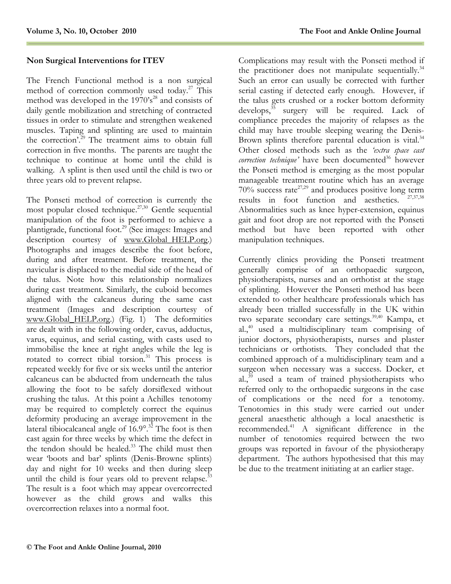## **Non Surgical Interventions for ITEV**

The French Functional method is a non surgical method of correction commonly used today.<sup>27</sup> This method was developed in the  $1970's<sup>28</sup>$  and consists of daily gentle mobilization and stretching of contracted tissues in order to stimulate and strengthen weakened muscles. Taping and splinting are used to maintain the correction'.<sup>29</sup> The treatment aims to obtain full correction in five months. The parents are taught the technique to continue at home until the child is walking. A splint is then used until the child is two or three years old to prevent relapse.

The Ponseti method of correction is currently the most popular closed technique.<sup>27,30</sup> Gentle sequential manipulation of the foot is performed to achieve a plantigrade, functional foot.<sup>29</sup> (See images: Images and description courtesy of www.Global\_HELP.org.) Photographs and images describe the foot before, during and after treatment. Before treatment, the navicular is displaced to the medial side of the head of the talus. Note how this relationship normalizes during cast treatment. Similarly, the cuboid becomes aligned with the calcaneus during the same cast treatment (Images and description courtesy of www.Global\_HELP.org.) (Fig. 1) The deformities are dealt with in the following order, cavus, adductus, varus, equinus, and serial casting, with casts used to immobilise the knee at right angles while the leg is rotated to correct tibial torsion.<sup>31</sup> This process is repeated weekly for five or six weeks until the anterior calcaneus can be abducted from underneath the talus allowing the foot to be safely dorsiflexed without crushing the talus. At this point a Achilles tenotomy may be required to completely correct the equinus deformity producing an average improvement in the lateral tibiocalcaneal angle of  $16.9^\circ$ .<sup>32</sup> The foot is then cast again for three weeks by which time the defect in the tendon should be healed.<sup>33</sup> The child must then wear 'boots and bar' splints (Denis-Browne splints) day and night for 10 weeks and then during sleep until the child is four years old to prevent relapse.<sup>33</sup> The result is a foot which may appear overcorrected however as the child grows and walks this overcorrection relaxes into a normal foot.

Complications may result with the Ponseti method if the practitioner does not manipulate sequentially. $34$ Such an error can usually be corrected with further serial casting if detected early enough. However, if the talus gets crushed or a rocker bottom deformity develops, $35$  surgery will be required. Lack of compliance precedes the majority of relapses as the child may have trouble sleeping wearing the Denis-Brown splints therefore parental education is vital.<sup>34</sup> Other closed methods such as the *'extra space cast correction technique'* have been documented<sup>36</sup> however the Ponseti method is emerging as the most popular manageable treatment routine which has an average  $70\%$  success rate<sup>27,29</sup> and produces positive long term results in foot function and aesthetics. Abnormalities such as knee hyper-extension, equinus gait and foot drop are not reported with the Ponseti method but have been reported with other manipulation techniques.

Currently clinics providing the Ponseti treatment generally comprise of an orthopaedic surgeon, physiotherapists, nurses and an orthotist at the stage of splinting. However the Ponseti method has been extended to other healthcare professionals which has already been trialled successfully in the UK within two separate secondary care settings.<sup>39,40</sup> Kampa, et al. $40$  used a multidisciplinary team comprising of junior doctors, physiotherapists, nurses and plaster technicians or orthotists. They concluded that the combined approach of a multidisciplinary team and a surgeon when necessary was a success. Docker, et al., $39$  used a team of trained physiotherapists who referred only to the orthopaedic surgeons in the case of complications or the need for a tenotomy. Tenotomies in this study were carried out under general anaesthetic although a local anaesthetic is recommended.<sup>41</sup> A significant difference in the number of tenotomies required between the two groups was reported in favour of the physiotherapy department. The authors hypothesised that this may be due to the treatment initiating at an earlier stage.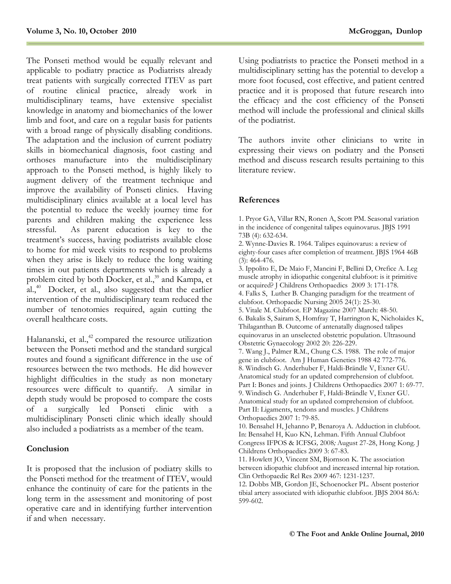The Ponseti method would be equally relevant and applicable to podiatry practice as Podiatrists already treat patients with surgically corrected ITEV as part of routine clinical practice, already work in multidisciplinary teams, have extensive specialist knowledge in anatomy and biomechanics of the lower limb and foot, and care on a regular basis for patients with a broad range of physically disabling conditions. The adaptation and the inclusion of current podiatry skills in biomechanical diagnosis, foot casting and orthoses manufacture into the multidisciplinary approach to the Ponseti method, is highly likely to augment delivery of the treatment technique and improve the availability of Ponseti clinics. Having multidisciplinary clinics available at a local level has the potential to reduce the weekly journey time for parents and children making the experience less stressful. As parent education is key to the treatment's success, having podiatrists available close to home for mid week visits to respond to problems when they arise is likely to reduce the long waiting times in out patients departments which is already a problem cited by both Docker, et al.,<sup>39</sup> and Kampa, et  $aL<sub>1</sub><sup>40</sup>$  Docker, et al., also suggested that the earlier intervention of the multidisciplinary team reduced the number of tenotomies required, again cutting the overall healthcare costs.

Halananski, et al.,<sup>42</sup> compared the resource utilization between the Ponseti method and the standard surgical routes and found a significant difference in the use of resources between the two methods. He did however highlight difficulties in the study as non monetary resources were difficult to quantify. A similar in depth study would be proposed to compare the costs of a surgically led Ponseti clinic with a multidisciplinary Ponseti clinic which ideally should also included a podiatrists as a member of the team.

### **Conclusion**

It is proposed that the inclusion of podiatry skills to the Ponseti method for the treatment of ITEV, would enhance the continuity of care for the patients in the long term in the assessment and monitoring of post operative care and in identifying further intervention if and when necessary.

Using podiatrists to practice the Ponseti method in a multidisciplinary setting has the potential to develop a more foot focused, cost effective, and patient centred practice and it is proposed that future research into the efficacy and the cost efficiency of the Ponseti method will include the professional and clinical skills of the podiatrist.

The authors invite other clinicians to write in expressing their views on podiatry and the Ponseti method and discuss research results pertaining to this literature review.

### **References**

1. Pryor GA, Villar RN, Ronen A, Scott PM. Seasonal variation in the incidence of congenital talipes equinovarus. JBJS 1991 73B (4): 632-634.

2. Wynne-Davies R. 1964. Talipes equinovarus: a review of eighty-four cases after completion of treatment. JBJS 1964 46B (3): 464-476.

3. Ippolito E, De Maio F, Mancini F, Bellini D, Orefice A. Leg muscle atrophy in idiopathic congenital clubfoot: is it primitive or acquired? J Childrens Orthopaedics2009 3: 171-178. 4. Falks S, Luther B. Changing paradigm for the treatment of

clubfoot. Orthopaedic Nursing 2005 24(1): 25-30.

5. Vitale M. Clubfoot. EP Magazine 2007 March: 48-50.

6. Bakalis S, Sairam S, Homfray T, Harrington K, Nicholaides K, Thilaganthan B. Outcome of antenatally diagnosed talipes equinovarus in an unselected obstetric population. Ultrasound Obstetric Gynaecology 2002 20: 226-229.

7. Wang J., Palmer R.M., Chung C.S. 1988. The role of major gene in clubfoot. Am J Human Genetics 1988 42 772-776. 8. Windisch G. Anderhuber F, Haldi-Brändle V, Exner GU. Anatomical study for an updated comprehension of clubfoot. Part I: Bones and joints. J Childrens Orthopaedics 2007 1: 69-77. 9. Windisch G. Anderhuber F, Haldi-Brändle V, Exner GU. Anatomical study for an updated comprehension of clubfoot. Part II: Ligaments, tendons and muscles. J Childrens Orthopaedics 2007 1: 79-85.

10. Bensahel H, Jehanno P, Benaroya A. Adduction in clubfoot. In: Bensahel H, Kuo KN, Lehman. Fifth Annual Clubfoot Congress IFPOS & ICFSG*,* 2008*;* August 27-28, Hong Kong. J Childrens Orthopaedics 2009 3: 67-83.

11. Howlett JO, Vincent SM, Bjornson K. The association between idiopathic clubfoot and increased internal hip rotation. Clin Orthopaedic Rel Res 2009 467: 1231-1237.

12. Dobbs MB, Gordon JE, Schoenocker PL. Absent posterior tibial artery associated with idiopathic clubfoot. JBJS 2004 86A: 599-602.